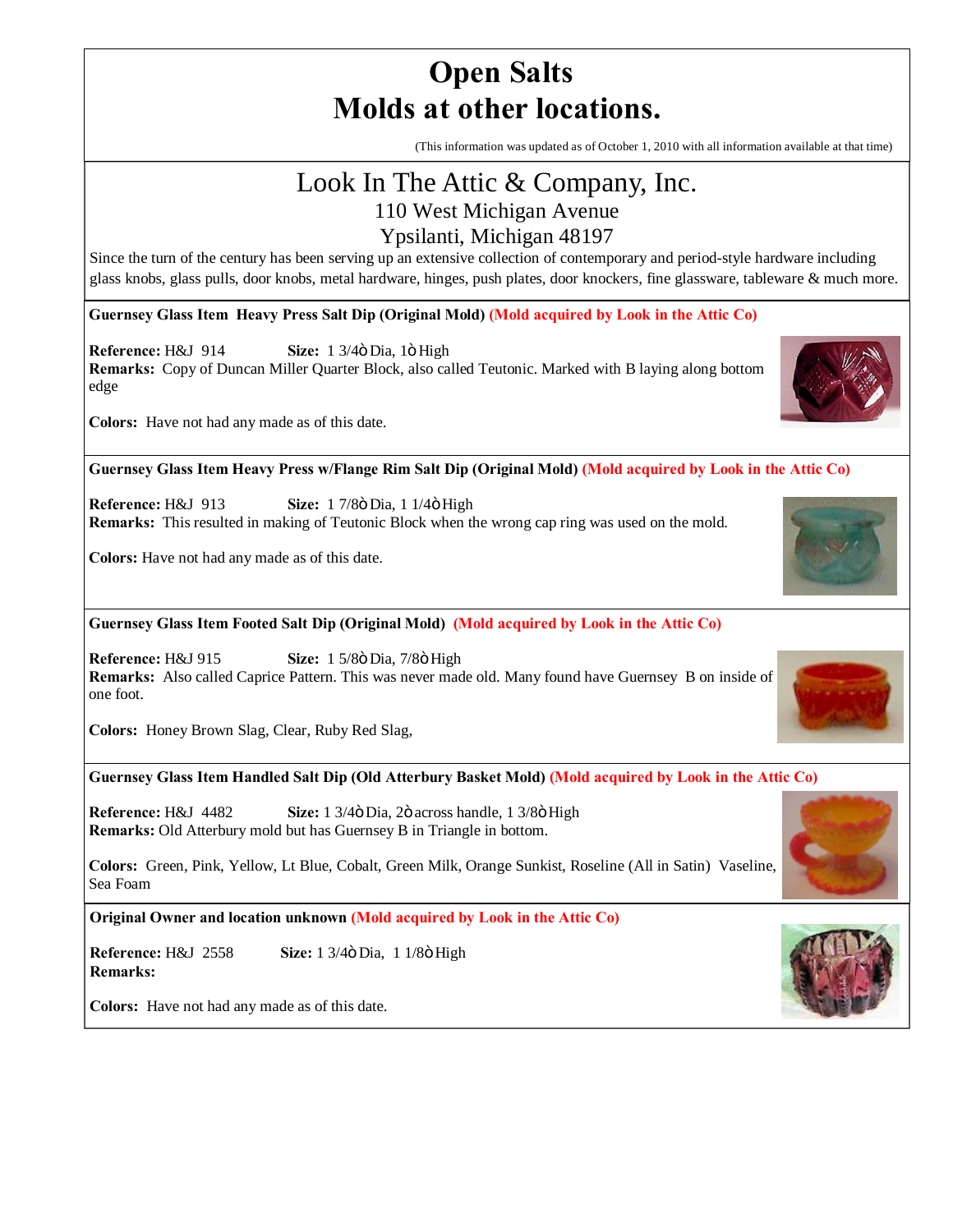# **Open Salts Molds at other locations.**

(This information was updated as of October 1, 2010 with all information available at that time)

# Look In The Attic & Company, Inc.

110 West Michigan Avenue

### Ypsilanti, Michigan 48197

Since the turn of the century has been serving up an extensive collection of contemporary and period-style hardware including glass knobs, glass pulls, door knobs, metal hardware, hinges, push plates, door knockers, fine glassware, tableware & much more.

**Guernsey Glass Item Heavy Press Salt Dip (Original Mold) (Mold acquired by Look in the Attic Co)**

**Reference:** H&J 914 **Size:** 1 3/4ö Dia, 1ö High

**Remarks:** Copy of Duncan Miller Quarter Block, also called Teutonic. Marked with B laying along bottom edge



**Colors:** Have not had any made as of this date.

**Guernsey Glass Item Heavy Press w/Flange Rim Salt Dip (Original Mold) (Mold acquired by Look in the Attic Co)**

**Reference: H&J** 913 **Size:** 1 7/8 $\ddot{o}$  Dia, 1 1/4 $\ddot{o}$  High **Remarks:** This resulted in making of Teutonic Block when the wrong cap ring was used on the mold.

**Colors:** Have not had any made as of this date.

**Guernsey Glass Item Footed Salt Dip (Original Mold) (Mold acquired by Look in the Attic Co)**

**Reference:** H&J 915 **Size:** 1 5/8ö Dia, 7/8ö High **Remarks:** Also called Caprice Pattern. This was never made old. Many found have Guernsey B on inside of one foot.

**Colors:** Honey Brown Slag, Clear, Ruby Red Slag,

#### **Guernsey Glass Item Handled Salt Dip (Old Atterbury Basket Mold) (Mold acquired by Look in the Attic Co)**

**Reference:** H&J 4482 **Size:** 1 3/4 $\ddot{o}$  Dia, 2 $\ddot{o}$  across handle, 1 3/8 $\ddot{o}$  High **Remarks:** Old Atterbury mold but has Guernsey B in Triangle in bottom.

**Colors:** Green, Pink, Yellow, Lt Blue, Cobalt, Green Milk, Orange Sunkist, Roseline (All in Satin) Vaseline, Sea Foam

**Original Owner and location unknown (Mold acquired by Look in the Attic Co)**

**Reference:** H&J 2558 **Size:** 1 3/4 $\ddot{o}$  Dia, 1 1/8 $\ddot{o}$  High **Remarks:** 

**Colors:** Have not had any made as of this date.







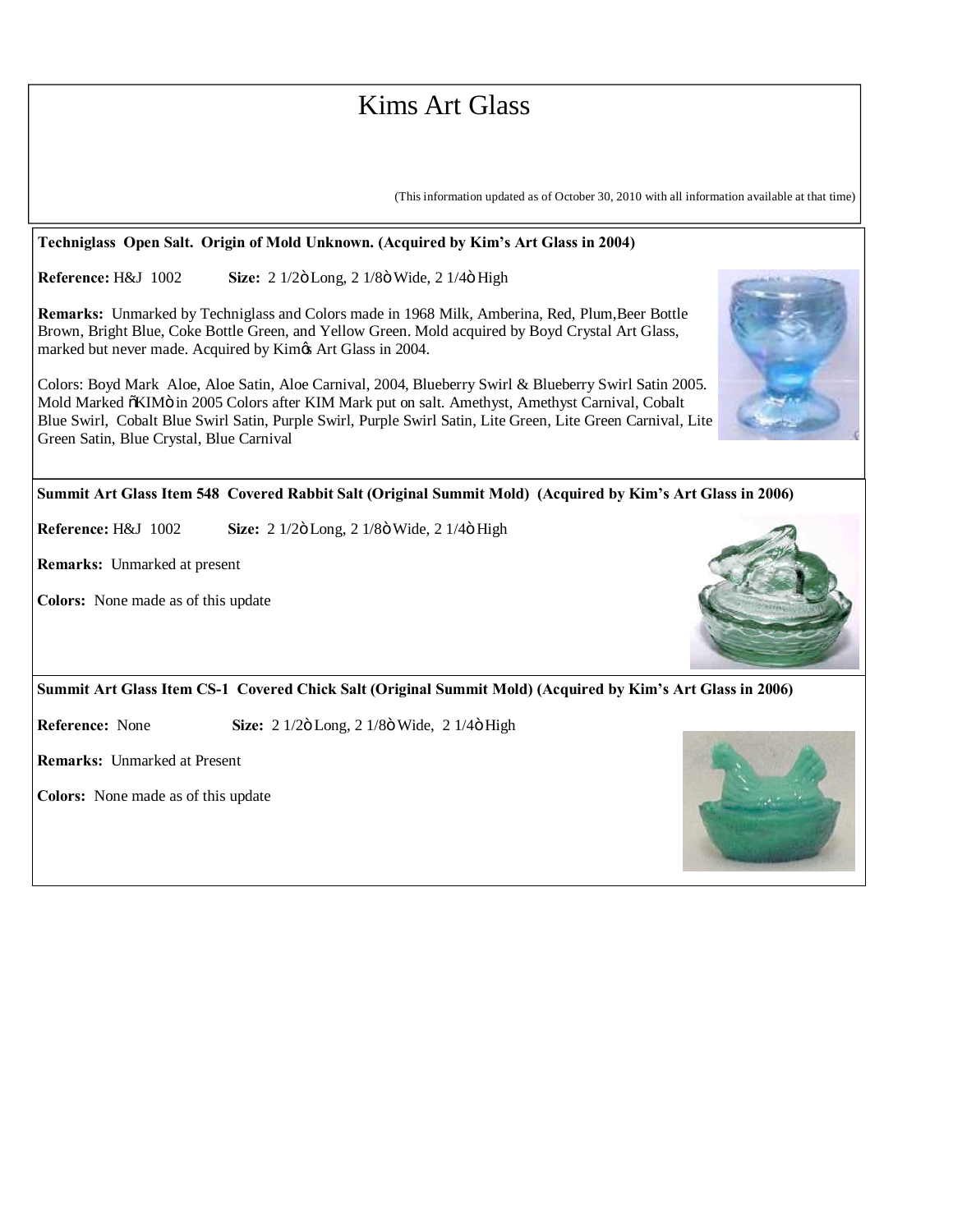## Kims Art Glass

(This information updated as of October 30, 2010 with all information available at that time)

#### **Techniglass Open Salt. Origin of Mold Unknown. (Acquired by Kim's Art Glass in 2004)**

**Reference:** H&J 1002 **Size:** 2 1/2ö Long, 2 1/8ö Wide, 2 1/4ö High

**Remarks:** Unmarked by Techniglass and Colors made in 1968 Milk, Amberina, Red, Plum,Beer Bottle Brown, Bright Blue, Coke Bottle Green, and Yellow Green. Mold acquired by Boyd Crystal Art Glass, marked but never made. Acquired by Kim $\alpha$ s Art Glass in 2004.

Colors: Boyd Mark Aloe, Aloe Satin, Aloe Carnival, 2004, Blueberry Swirl & Blueberry Swirl Satin 2005. Mold Marked õKIMö in 2005 Colors after KIM Mark put on salt. Amethyst, Amethyst Carnival, Cobalt Blue Swirl, Cobalt Blue Swirl Satin, Purple Swirl, Purple Swirl Satin, Lite Green, Lite Green Carnival, Lite Green Satin, Blue Crystal, Blue Carnival

**Summit Art Glass Item 548 Covered Rabbit Salt (Original Summit Mold) (Acquired by Kim's Art Glass in 2006)**

**Reference:** H&J 1002 **Size:** 2 1/2ö Long, 2 1/8ö Wide, 2 1/4ö High

**Remarks:** Unmarked at present

**Colors:** None made as of this update



**Summit Art Glass Item CS-1 Covered Chick Salt (Original Summit Mold) (Acquired by Kim's Art Glass in 2006)**

**Reference:** None **Size:** 2 1/2 $\ddot{o}$  Long, 2 1/8 $\ddot{o}$  Wide, 2 1/4 $\ddot{o}$  High

**Remarks:** Unmarked at Present

**Colors:** None made as of this update



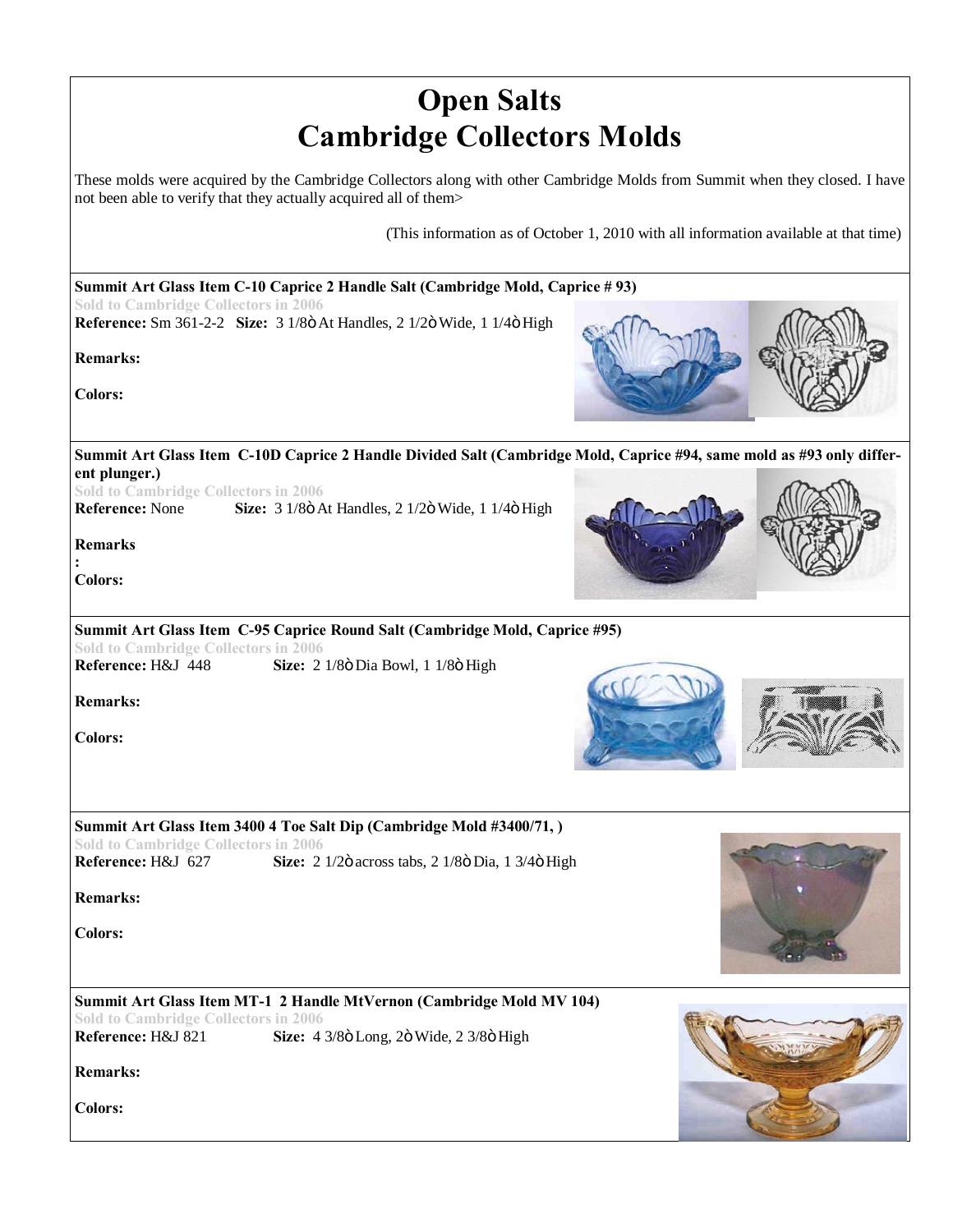| <b>Open Salts</b>                                                                                                                                                                                                                                                                                 |
|---------------------------------------------------------------------------------------------------------------------------------------------------------------------------------------------------------------------------------------------------------------------------------------------------|
| <b>Cambridge Collectors Molds</b>                                                                                                                                                                                                                                                                 |
| These molds were acquired by the Cambridge Collectors along with other Cambridge Molds from Summit when they closed. I have<br>not been able to verify that they actually acquired all of them>                                                                                                   |
| (This information as of October 1, 2010 with all information available at that time)                                                                                                                                                                                                              |
| Summit Art Glass Item C-10 Caprice 2 Handle Salt (Cambridge Mold, Caprice # 93)                                                                                                                                                                                                                   |
| <b>Sold to Cambridge Collectors in 2006</b><br>Reference: Sm 361-2-2 Size: 3 1/8ö At Handles, 2 1/2ö Wide, 1 1/4ö High<br><b>Remarks:</b><br><b>Colors:</b>                                                                                                                                       |
| Summit Art Glass Item C-10D Caprice 2 Handle Divided Salt (Cambridge Mold, Caprice #94, same mold as #93 only differ-<br>ent plunger.)<br><b>Sold to Cambridge Collectors in 2006</b><br>Reference: None<br>Size: 3 1/8ö At Handles, 2 1/2ö Wide, 1 1/4ö High<br><b>Remarks</b><br><b>Colors:</b> |
| Summit Art Glass Item C-95 Caprice Round Salt (Cambridge Mold, Caprice #95)<br><b>Sold to Cambridge Collectors in 2006</b><br>Reference: H&J 448<br>Size: 2 1/8ö Dia Bowl, 1 1/8ö High<br><b>Remarks:</b><br><b>Colors:</b>                                                                       |
| Summit Art Glass Item 3400 4 Toe Salt Dip (Cambridge Mold #3400/71,)<br><b>Sold to Cambridge Collectors in 2006</b><br>Reference: H&J 627<br>Size: 2 1/2ö across tabs, 2 1/8ö Dia, 1 3/4ö High<br><b>Remarks:</b><br><b>Colors:</b>                                                               |
| Summit Art Glass Item MT-1 2 Handle MtVernon (Cambridge Mold MV 104)<br><b>Sold to Cambridge Collectors in 2006</b><br>Reference: H&J 821<br>Size: 4 3/8ö Long, 2ö Wide, 2 3/8ö High<br><b>Remarks:</b><br><b>Colors:</b>                                                                         |

**STAR**